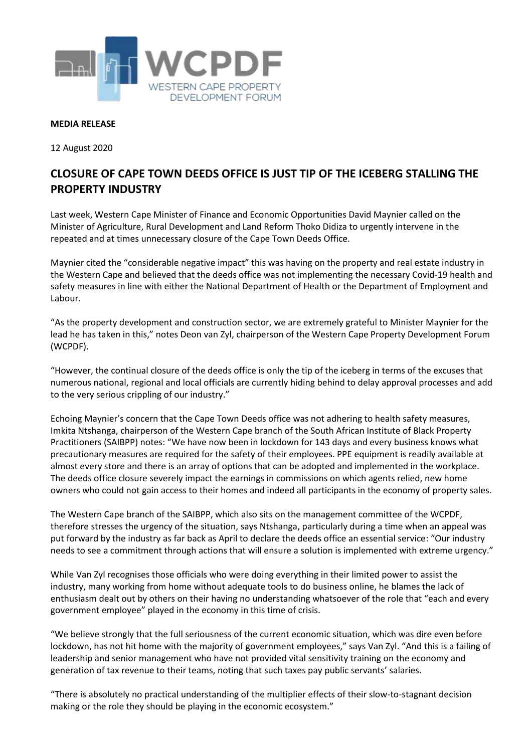

## **MEDIA RELEASE**

12 August 2020

## **CLOSURE OF CAPE TOWN DEEDS OFFICE IS JUST TIP OF THE ICEBERG STALLING THE PROPERTY INDUSTRY**

Last week, Western Cape Minister of Finance and Economic Opportunities David Maynier called on the Minister of Agriculture, Rural Development and Land Reform Thoko Didiza to urgently intervene in the repeated and at times unnecessary closure of the Cape Town Deeds Office.

Maynier cited the "considerable negative impact" this was having on the property and real estate industry in the Western Cape and believed that the deeds office was not implementing the necessary Covid-19 health and safety measures in line with either the National Department of Health or the Department of Employment and Labour.

"As the property development and construction sector, we are extremely grateful to Minister Maynier for the lead he has taken in this," notes Deon van Zyl, chairperson of the Western Cape Property Development Forum (WCPDF).

"However, the continual closure of the deeds office is only the tip of the iceberg in terms of the excuses that numerous national, regional and local officials are currently hiding behind to delay approval processes and add to the very serious crippling of our industry."

Echoing Maynier's concern that the Cape Town Deeds office was not adhering to health safety measures, Imkita Ntshanga, chairperson of the Western Cape branch of the South African Institute of Black Property Practitioners (SAIBPP) notes: "We have now been in lockdown for 143 days and every business knows what precautionary measures are required for the safety of their employees. PPE equipment is readily available at almost every store and there is an array of options that can be adopted and implemented in the workplace. The deeds office closure severely impact the earnings in commissions on which agents relied, new home owners who could not gain access to their homes and indeed all participants in the economy of property sales.

The Western Cape branch of the SAIBPP, which also sits on the management committee of the WCPDF, therefore stresses the urgency of the situation, says Ntshanga, particularly during a time when an appeal was put forward by the industry as far back as April to declare the deeds office an essential service: "Our industry needs to see a commitment through actions that will ensure a solution is implemented with extreme urgency."

While Van Zyl recognises those officials who were doing everything in their limited power to assist the industry, many working from home without adequate tools to do business online, he blames the lack of enthusiasm dealt out by others on their having no understanding whatsoever of the role that "each and every government employee" played in the economy in this time of crisis.

"We believe strongly that the full seriousness of the current economic situation, which was dire even before lockdown, has not hit home with the majority of government employees," says Van Zyl. "And this is a failing of leadership and senior management who have not provided vital sensitivity training on the economy and generation of tax revenue to their teams, noting that such taxes pay public servants' salaries.

"There is absolutely no practical understanding of the multiplier effects of their slow-to-stagnant decision making or the role they should be playing in the economic ecosystem."